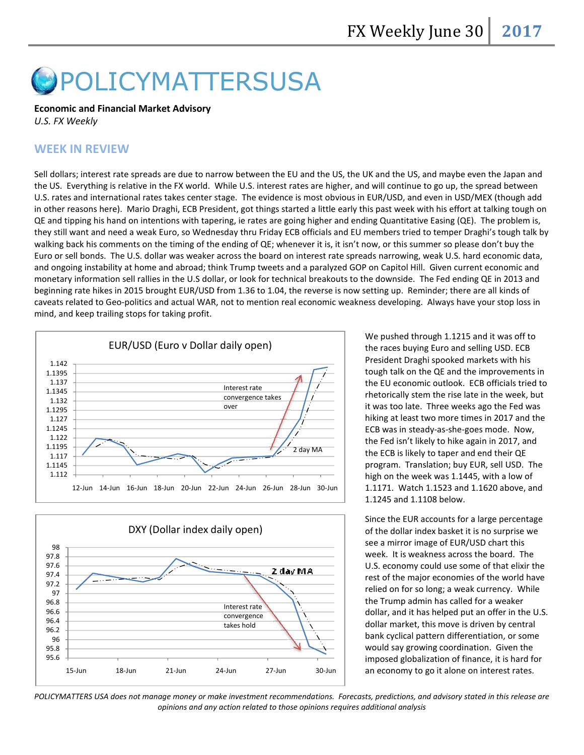# POLICYMATTERSUSA

#### Economic and Financial Market Advisory

U.S. FX Weekly

# WEEK IN REVIEW

Sell dollars; interest rate spreads are due to narrow between the EU and the US, the UK and the US, and maybe even the Japan and the US. Everything is relative in the FX world. While U.S. interest rates are higher, and will continue to go up, the spread between U.S. rates and international rates takes center stage. The evidence is most obvious in EUR/USD, and even in USD/MEX (though add the US. Everything is relative in the FX world. While U.S. interest rates are higher, and will continue to go up, the spread between<br>U.S. rates and international rates takes center stage. The evidence is most obvious in EU QE and tipping his hand on intentions with tapering, ie rates are going higher and ending Quantitative Easing (QE). The problem is, they still want and need a weak Euro, so Wednesday thru Friday ECB officials and EU members tried to temper Draghi's tough talk by walking back his comments on the timing of the ending of QE; whenever it is, it isn't now, or this summer so please don't buy the they still want and need a weak Euro, so Wednesday thru Friday ECB officials and EU members tried to temper Draghi's tough talk b<br>walking back his comments on the timing of the ending of QE; whenever it is, it isn't now, o and ongoing instability at home and abroad; think Trump tweets and a paralyzed GOP on Capitol Hill. Given current economic monetary information sell rallies in the U.S dollar, or look for technical breakouts to the downside. The Fed ending QE in 2013 ar<br>beginning rate hikes in 2015 brought EUR/USD from 1.36 to 1.04, the reverse is now setting beginning rate hikes in 2015 brought EUR/USD from 1.36 to 1.04, the reverse is now setting up. Reminder; there are all caveats related to Geo-politics and actual WAR, not to mention real economic weakness developing. Always have your stop loss in<br>mind, and keep trailing stops for taking profit.<br>EUR/USD (Euro v Dollar daily open)<br>EUR/USD (E mind, and keep trailing stops for taking profit. is are due to narrow between the US and the US, the UK and the US, and maybe even the US, and the US, and the US, and the US the US the US the US the US the US the US the US the US the US the US the US of the US of the US onds. The U.S. dollar was weaker across the board on interest rate spreads narrowing, weak U.S. hard economic data,<br>instability at home and abroad; think Trump tweets and a paralyzed GOP on Capitol Hill. Given current econ and





We pushed through 1.1215 and it was off to the races buying Euro and selling USD. ECB President Draghi spooked markets with his tough talk on the QE and the improvements in the EU economic outlook. ECB officials tried to rhetorically stem the rise late in the week, but it was too late. Three weeks ago the Fed was hiking at least two more times in 2017 and the ECB was in steady-as-she-goes mode. Now, the Fed isn't likely to hike again in 2017, and the ECB is likely to taper and end their QE program. Translation; buy EUR, sell USD. The the ECB is likely to taper and end their QE<br>program. Translation; buy EUR, sell USD. Tl<br>high on the week was 1.1445, with a low of 1.1171. Watch 1.1523 and 1.1620 above, and 1.1523 and 1.1245 and 1.1108 below. ough talk on the QE and the improvements in<br>ine EU economic outlook. ECB officials tried to<br>inetorically stem the rise late in the week, but<br>was too late. Three weeks ago the Fed was<br>king at least two more times in 2017 an

1.1245 and 1.1108 below.<br>Since the EUR accounts for a large percentage of the dollar index basket it is no surprise we see a mirror image of EUR/USD chart this week. It is weakness weakness across the board. The U.S. economy could use some of that elixir the rest of the major economies of the world have relied on for so long; a weak currency. While the Trump admin has called for a weaker dollar, and it has helped put an offer in the U.S. dollar market, this move is driven by central bank cyclical pattern differentiation, or some would say growing coordination. Given the imposed globalization of finance, it is hard for an economy to go it alone on interest rates. I.S. economy could use some of that elixir the<br>est of the major economies of the world have<br>elied on for so long; a weak currency. While<br>he Trump admin has called for a weaker<br>ollar, and it has helped put an offer in the U

POLICYMATTERS USA does not manage money or make investment recommendations. Forecasts, predictions, and advisory stated in this release are opinions and any action related to those opinions requires additional analysis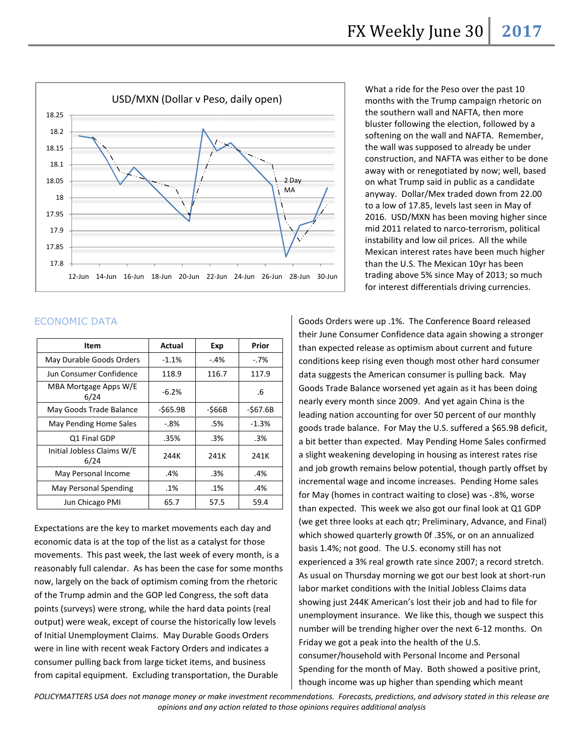

What a ride for the Peso over the past 10 months with the Trump campaign rhetoric on the southern wall and NAFTA, then more bluster following the election, followed by a softening on the wall and NAFTA. Remember, the wall was supposed to already be under construction, and NAFTA was either to be done away with or renegotiated by now; well, based on what Trump said in public as a candidate anyway. Dollar/Mex traded down from 22.00 to a low of 17.85, levels last seen in May of on what Trump said in public as a candidate<br>anyway. Dollar/Mex traded down from 22.00<br>to a low of 17.85, levels last seen in May of<br>2016. USD/MXN has been moving higher since mid 2011 related to narco-terrorism, political instability and low oil prices. All the while Mexican interest rates have been much higher than the U.S. The Mexican 10yr has been instability and low oil prices. All the while<br>Mexican interest rates have been much higher<br>than the U.S. The Mexican 10yr has been<br>trading above 5% since May of 2013; so much for interest differe differentials driving currencies. months with the Trump campaign rhetoric on<br>the southern wall and NAFTA, then more<br>bluster following the election, followed by a<br>softening on the wall and NAFTA. Remember,<br>the wall was supposed to already be under<br>construct

### ECONOMIC DATA

ECONOMIC DATA<br> **ECONOMIC DATA**<br> **EXERENT ACTION CONSUPSION** (**EXERENT ACTION** CONSUPSION (**EXERENT ACTION** CONSUPSION (**EXERENT ACTION** CONSUPSION (**EXERENT ACTION** CONSUPSION (**EXERENT ACTION** CONSUPSION (**EXERENT ACTION** their June Consumer Confidence data again showing a stronger than expected release as optimism about current and future conditions keep rising even though most other hard consumer<br>data suggests the American consumer is pulling back. May data suggests the American consumer is pulling back. May Goods Trade Balance worsened yet again as it has been doing<br>nearly every month since 2009. And yet again China is the nearly every month since 2009. And yet again China is the leading nation accounting for over 50 percent of our monthly leading nation accounting for over 50 percent of our monthly<br>goods trade balance. For May the U.S. suffered a \$65.9B deficit, a bit better than expected. May Pending Home Sales confirmed a slight weakening developing in housing as interest rates rise and job growth remains below potential, though partly offset by incremental wage and income increases. Pending Home sales for May (homes in contract waiting to close) was -.8%, worse than expected. This week we also got our final look at Q1 GDP (we get three looks at each qtr; Preliminary, Advance, and Final) than expected. This week we also got our final look at Q1 GD<br>(we get three looks at each qtr; Preliminary, Advance, and Fin<br>which showed quarterly growth 0f .35%, or on an annualized basis 1.4%; not good. The U.S. economy still has not experienced a 3% real growth rate since 2007; a record stretch. As usual on Thursday morning we got our best look at short-run labor market conditions with the Initial Jobless Claims data showing just 244K American's lost their job and had to file for unemployment insurance. We like this, though we suspect this unemployment insurance. We like this, though we suspect this<br>number will be trending higher over the next 6-12 months. On Friday we got a peak into the health of the U.S. Friday we got a peak into the health of the U.S.<br>consumer/household with Personal Income and Personal Spending for the month of May. Both showed a positive print, though income was up higher than spending which meant p .1%. The Conference Board released<br>Confidence data again showing a strong<br>e as optimism about current and future bit better than expected. May Pending Home Sales confirmed<br>slight weakening developing in housing as interest rates rise<br>1d job growth remains below potential, though partly offset by ot good. The U.S. economy still has not<br>a 3% real growth rate since 2007; a record stretch.<br>'hursday morning we got our best look at short-run a ride for the Peso over the past 10<br>so with the Trump campaign rhetorius how then will and NAFTA, then more<br>uthern wall and NAFTA, then more<br>for following the election, followed by<br>ing on the wall and NAFTA. Remement a ri

POLICYMATTERS USA does not manage money or make investment recommendations. Forecasts, predictions, and advisory stated in this release are opinions and any action related to those opinions requires additional analysis